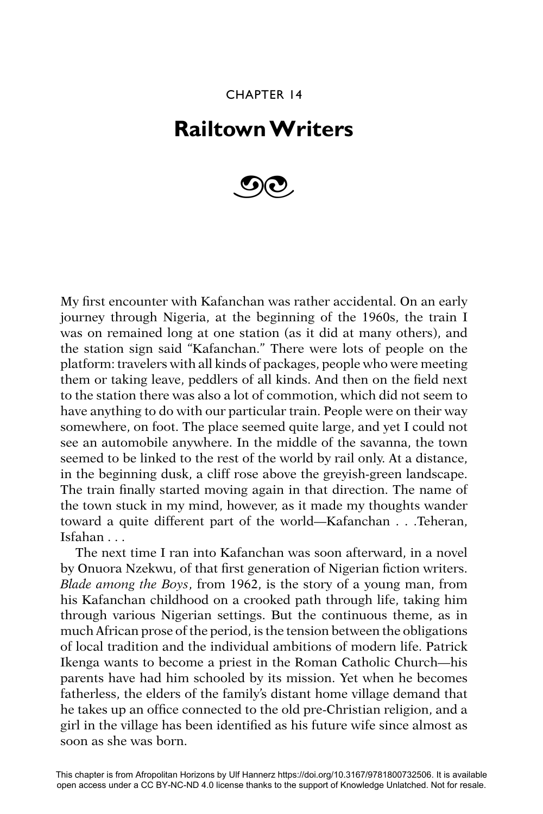## CHAPTER 14

# **Railtown Writers**



My first encounter with Kafanchan was rather accidental. On an early journey through Nigeria, at the beginning of the 1960s, the train I was on remained long at one station (as it did at many others), and the station sign said "Kafanchan." There were lots of people on the platform: travelers with all kinds of packages, people who were meeting them or taking leave, peddlers of all kinds. And then on the field next to the station there was also a lot of commotion, which did not seem to have anything to do with our particular train. People were on their way somewhere, on foot. The place seemed quite large, and yet I could not see an automobile anywhere. In the middle of the savanna, the town seemed to be linked to the rest of the world by rail only. At a distance, in the beginning dusk, a cliff rose above the greyish-green landscape. The train finally started moving again in that direction. The name of the town stuck in my mind, however, as it made my thoughts wander toward a quite different part of the world—Kafanchan . . .Teheran, Isfahan . . .

The next time I ran into Kafanchan was soon afterward, in a novel by Onuora Nzekwu, of that first generation of Nigerian fiction writers. *Blade among the Boys*, from 1962, is the story of a young man, from his Kafanchan childhood on a crooked path through life, taking him through various Nigerian settings. But the continuous theme, as in much African prose of the period, is the tension between the obligations of local tradition and the individual ambitions of modern life. Patrick Ikenga wants to become a priest in the Roman Catholic Church—his parents have had him schooled by its mission. Yet when he becomes fatherless, the elders of the family's distant home village demand that he takes up an office connected to the old pre-Christian religion, and a girl in the village has been identified as his future wife since almost as soon as she was born.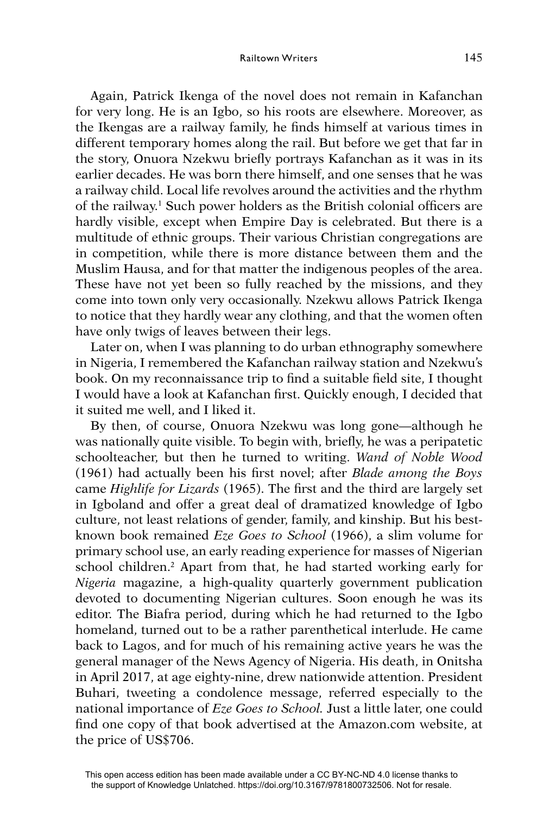#### Railtown Writers 145

Again, Patrick Ikenga of the novel does not remain in Kafanchan for very long. He is an Igbo, so his roots are elsewhere. Moreover, as the Ikengas are a railway family, he finds himself at various times in different temporary homes along the rail. But before we get that far in the story, Onuora Nzekwu briefly portrays Kafanchan as it was in its earlier decades. He was born there himself, and one senses that he was a railway child. Local life revolves around the activities and the rhythm of the railway.<sup>1</sup> Such power holders as the British colonial officers are hardly visible, except when Empire Day is celebrated. But there is a multitude of ethnic groups. Their various Christian congregations are in competition, while there is more distance between them and the Muslim Hausa, and for that matter the indigenous peoples of the area. These have not yet been so fully reached by the missions, and they come into town only very occasionally. Nzekwu allows Patrick Ikenga to notice that they hardly wear any clothing, and that the women often have only twigs of leaves between their legs.

Later on, when I was planning to do urban ethnography somewhere in Nigeria, I remembered the Kafanchan railway station and Nzekwu's book. On my reconnaissance trip to find a suitable field site, I thought I would have a look at Kafanchan first. Quickly enough, I decided that it suited me well, and I liked it.

By then, of course, Onuora Nzekwu was long gone—although he was nationally quite visible. To begin with, briefly, he was a peripatetic schoolteacher, but then he turned to writing. *Wand of Noble Wood*  (1961) had actually been his first novel; after *Blade among the Boys* came *Highlife for Lizards* (1965). The first and the third are largely set in Igboland and offer a great deal of dramatized knowledge of Igbo culture, not least relations of gender, family, and kinship. But his bestknown book remained *Eze Goes to School* (1966), a slim volume for primary school use, an early reading experience for masses of Nigerian school children.<sup>2</sup> Apart from that, he had started working early for *Nigeria* magazine, a high-quality quarterly government publication devoted to documenting Nigerian cultures. Soon enough he was its editor. The Biafra period, during which he had returned to the Igbo homeland, turned out to be a rather parenthetical interlude. He came back to Lagos, and for much of his remaining active years he was the general manager of the News Agency of Nigeria. His death, in Onitsha in April 2017, at age eighty-nine, drew nationwide attention. President Buhari, tweeting a condolence message, referred especially to the national importance of *Eze Goes to School.* Just a little later, one could find one copy of that book advertised at the Amazon.com website, at the price of US\$706.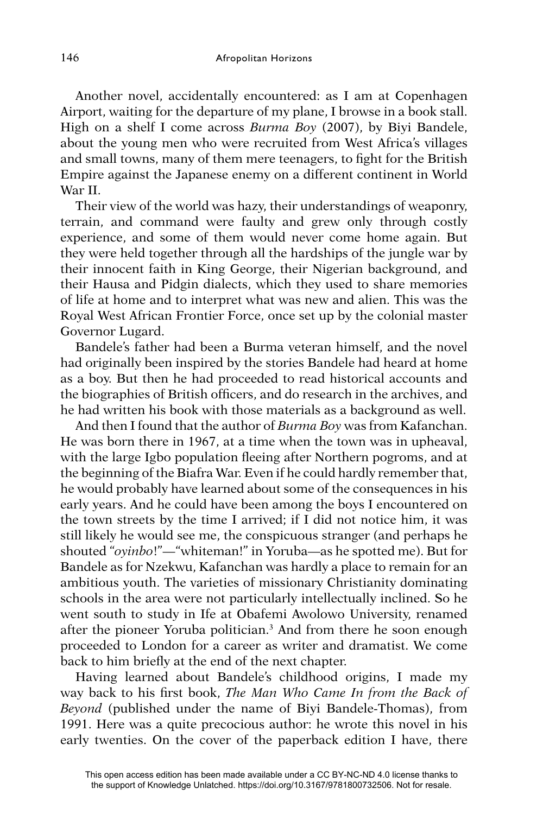Another novel, accidentally encountered: as I am at Copenhagen Airport, waiting for the departure of my plane, I browse in a book stall. High on a shelf I come across *Burma Boy* (2007), by Biyi Bandele, about the young men who were recruited from West Africa's villages and small towns, many of them mere teenagers, to fight for the British Empire against the Japanese enemy on a different continent in World War II.

Their view of the world was hazy, their understandings of weaponry, terrain, and command were faulty and grew only through costly experience, and some of them would never come home again. But they were held together through all the hardships of the jungle war by their innocent faith in King George, their Nigerian background, and their Hausa and Pidgin dialects, which they used to share memories of life at home and to interpret what was new and alien. This was the Royal West African Frontier Force, once set up by the colonial master Governor Lugard.

Bandele's father had been a Burma veteran himself, and the novel had originally been inspired by the stories Bandele had heard at home as a boy. But then he had proceeded to read historical accounts and the biographies of British officers, and do research in the archives, and he had written his book with those materials as a background as well.

And then I found that the author of *Burma Boy* was from Kafanchan. He was born there in 1967, at a time when the town was in upheaval, with the large Igbo population fleeing after Northern pogroms, and at the beginning of the Biafra War. Even if he could hardly remember that, he would probably have learned about some of the consequences in his early years. And he could have been among the boys I encountered on the town streets by the time I arrived; if I did not notice him, it was still likely he would see me, the conspicuous stranger (and perhaps he shouted "*oyinbo*!"—"whiteman!" in Yoruba—as he spotted me). But for Bandele as for Nzekwu, Kafanchan was hardly a place to remain for an ambitious youth. The varieties of missionary Christianity dominating schools in the area were not particularly intellectually inclined. So he went south to study in Ife at Obafemi Awolowo University, renamed after the pioneer Yoruba politician.3 And from there he soon enough proceeded to London for a career as writer and dramatist. We come back to him briefly at the end of the next chapter.

Having learned about Bandele's childhood origins, I made my way back to his first book, *The Man Who Came In from the Back of Beyond* (published under the name of Biyi Bandele-Thomas), from 1991. Here was a quite precocious author: he wrote this novel in his early twenties. On the cover of the paperback edition I have, there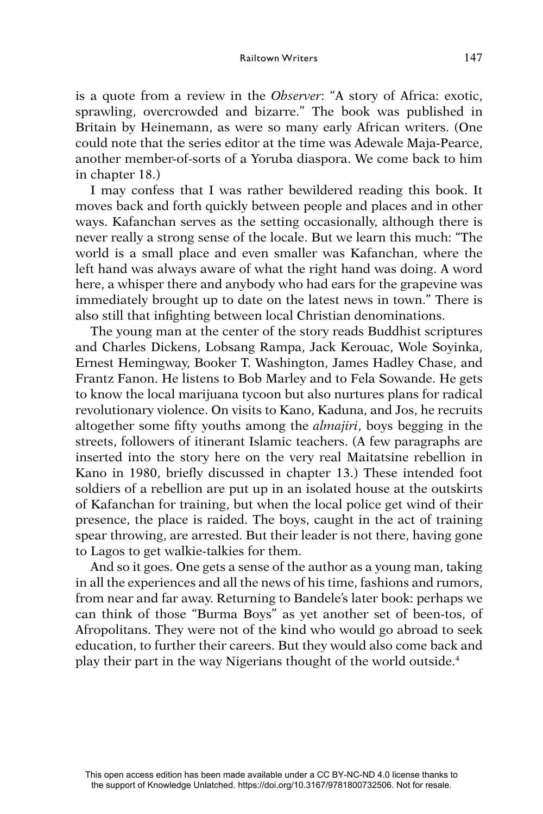is a quote from a review in the *Observer*: "A story of Africa: exotic, sprawling, overcrowded and bizarre." The book was published in Britain by Heinemann, as were so many early African writers. (One could note that the series editor at the time was Adewale Maja-Pearce, another member-of-sorts of a Yoruba diaspora. We come back to him in chapter 18.)

I may confess that I was rather bewildered reading this book. It moves back and forth quickly between people and places and in other ways. Kafanchan serves as the setting occasionally, although there is never really a strong sense of the locale. But we learn this much: "The world is a small place and even smaller was Kafanchan, where the left hand was always aware of what the right hand was doing. A word here, a whisper there and anybody who had ears for the grapevine was immediately brought up to date on the latest news in town." There is also still that infighting between local Christian denominations.

The young man at the center of the story reads Buddhist scriptures and Charles Dickens, Lobsang Rampa, Jack Kerouac, Wole Soyinka, Ernest Hemingway, Booker T. Washington, James Hadley Chase, and Frantz Fanon. He listens to Bob Marley and to Fela Sowande. He gets to know the local marijuana tycoon but also nurtures plans for radical revolutionary violence. On visits to Kano, Kaduna, and Jos, he recruits altogether some fifty youths among the *almajiri*, boys begging in the streets, followers of itinerant Islamic teachers. (A few paragraphs are inserted into the story here on the very real Maitatsine rebellion in Kano in 1980, briefly discussed in chapter 13.) These intended foot soldiers of a rebellion are put up in an isolated house at the outskirts of Kafanchan for training, but when the local police get wind of their presence, the place is raided. The boys, caught in the act of training spear throwing, are arrested. But their leader is not there, having gone to Lagos to get walkie-talkies for them.

And so it goes. One gets a sense of the author as a young man, taking in all the experiences and all the news of his time, fashions and rumors, from near and far away. Returning to Bandele's later book: perhaps we can think of those "Burma Boys" as yet another set of been-tos, of Afropolitans. They were not of the kind who would go abroad to seek education, to further their careers. But they would also come back and play their part in the way Nigerians thought of the world outside.4